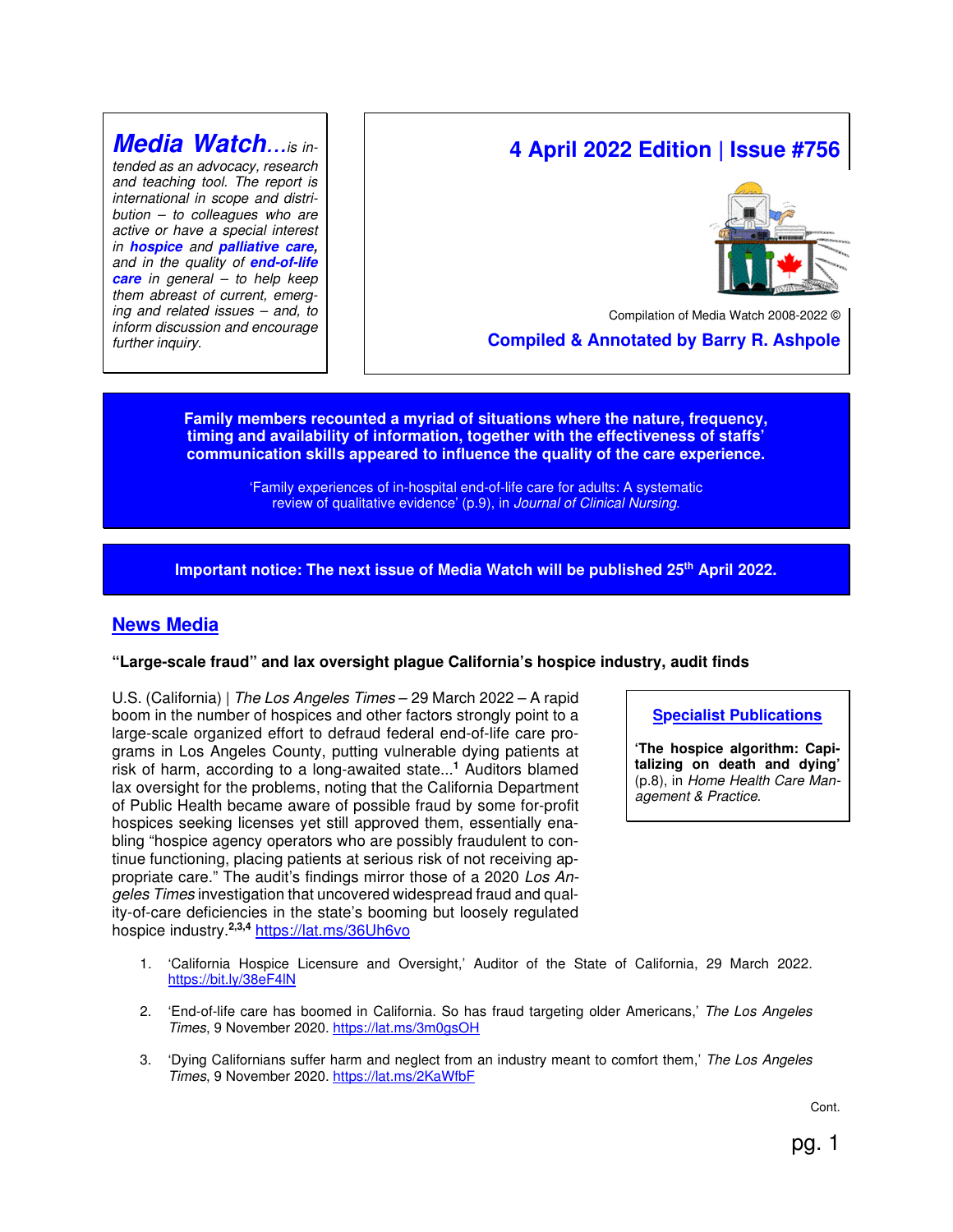## **Media Watch**...is in-

tended as an advocacy, research and teaching tool. The report is international in scope and distri $bution - to colleagues who are$ active or have a special interest in **hospice** and **palliative care,** and in the quality of **end-of-life care** in general – to help keep them abreast of current, emerging and related issues – and, to inform discussion and encourage further inquiry.

# **4 April 2022 Edition | Issue #756**



Compilation of Media Watch 2008-2022 (

 **Compiled & Annotated by Barry R. Ashpole** 

**Family members recounted a myriad of situations where the nature, frequency, timing and availability of information, together with the effectiveness of staffs' communication skills appeared to influence the quality of the care experience.** 

> 'Family experiences of in-hospital end-of-life care for adults: A systematic review of qualitative evidence' (p.9), in Journal of Clinical Nursing.

**Important notice: The next issue of Media Watch will be published 25th April 2022.** 

## **News Media**

### **"Large-scale fraud" and lax oversight plague California's hospice industry, audit finds**

U.S. (California) | The Los Angeles Times – 29 March 2022 – A rapid boom in the number of hospices and other factors strongly point to a large-scale organized effort to defraud federal end-of-life care programs in Los Angeles County, putting vulnerable dying patients at risk of harm, according to a long-awaited state...**<sup>1</sup>** Auditors blamed lax oversight for the problems, noting that the California Department of Public Health became aware of possible fraud by some for-profit hospices seeking licenses yet still approved them, essentially enabling "hospice agency operators who are possibly fraudulent to continue functioning, placing patients at serious risk of not receiving appropriate care." The audit's findings mirror those of a 2020 Los Angeles Times investigation that uncovered widespread fraud and quality-of-care deficiencies in the state's booming but loosely regulated hospice industry.**2,3,4** https://lat.ms/36Uh6vo

- 1. 'California Hospice Licensure and Oversight,' Auditor of the State of California, 29 March 2022. https://bit.ly/38eF4lN
- 2. 'End-of-life care has boomed in California. So has fraud targeting older Americans,' The Los Angeles Times, 9 November 2020. https://lat.ms/3m0gsOH
- 3. 'Dying Californians suffer harm and neglect from an industry meant to comfort them,' The Los Angeles Times, 9 November 2020. https://lat.ms/2KaWfbF

**Specialist Publications**

**'The hospice algorithm: Capitalizing on death and dying'** (p.8), in Home Health Care Management & Practice.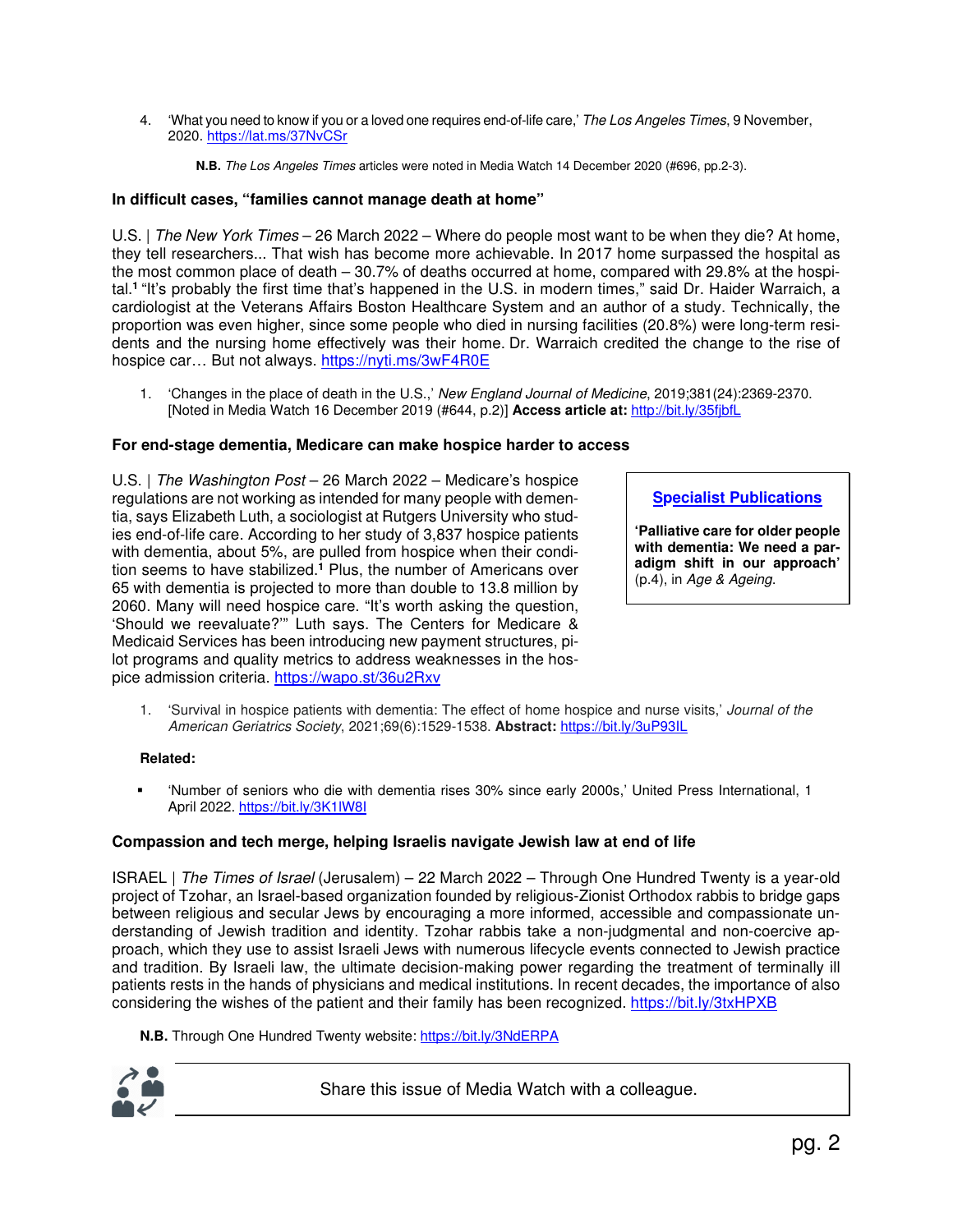4. 'What you need to know if you or a loved one requires end-of-life care,' The Los Angeles Times, 9 November, 2020. https://lat.ms/37NvCSr

**N.B.** The Los Angeles Times articles were noted in Media Watch 14 December 2020 (#696, pp.2-3).

## **In difficult cases, "families cannot manage death at home"**

U.S. | The New York Times – 26 March 2022 – Where do people most want to be when they die? At home, they tell researchers... That wish has become more achievable. In 2017 home surpassed the hospital as the most common place of death – 30.7% of deaths occurred at home, compared with 29.8% at the hospital.**<sup>1</sup>**"It's probably the first time that's happened in the U.S. in modern times," said Dr. Haider Warraich, a cardiologist at the Veterans Affairs Boston Healthcare System and an author of a study. Technically, the proportion was even higher, since some people who died in nursing facilities (20.8%) were long-term residents and the nursing home effectively was their home. Dr. Warraich credited the change to the rise of hospice car… But not always. https://nyti.ms/3wF4R0E

1. 'Changes in the place of death in the U.S.,' New England Journal of Medicine, 2019;381(24):2369-2370. [Noted in Media Watch 16 December 2019 (#644, p.2)] **Access article at:** http://bit.ly/35fjbfL

## **For end-stage dementia, Medicare can make hospice harder to access**

U.S. | The Washington Post – 26 March 2022 – Medicare's hospice regulations are not working as intended for many people with dementia, says Elizabeth Luth, a sociologist at Rutgers University who studies end-of-life care. According to her study of 3,837 hospice patients with dementia, about 5%, are pulled from hospice when their condition seems to have stabilized.**<sup>1</sup>** Plus, the number of Americans over 65 with dementia is projected to more than double to 13.8 million by 2060. Many will need hospice care. "It's worth asking the question, 'Should we reevaluate?'" Luth says. The Centers for Medicare & Medicaid Services has been introducing new payment structures, pilot programs and quality metrics to address weaknesses in the hospice admission criteria. https://wapo.st/36u2Rxv

**Specialist Publications**

**'Palliative care for older people with dementia: We need a paradigm shift in our approach'** (p.4), in Age & Ageing.

1. 'Survival in hospice patients with dementia: The effect of home hospice and nurse visits,' Journal of the American Geriatrics Society, 2021;69(6):1529-1538. **Abstract:** https://bit.ly/3uP93IL

### **Related:**

 'Number of seniors who die with dementia rises 30% since early 2000s,' United Press International, 1 April 2022. https://bit.ly/3K1lW8I

### **Compassion and tech merge, helping Israelis navigate Jewish law at end of life**

ISRAEL | The Times of Israel (Jerusalem) – 22 March 2022 – Through One Hundred Twenty is a year-old project of Tzohar, an Israel-based organization founded by religious-Zionist Orthodox rabbis to bridge gaps between religious and secular Jews by encouraging a more informed, accessible and compassionate understanding of Jewish tradition and identity. Tzohar rabbis take a non-judgmental and non-coercive approach, which they use to assist Israeli Jews with numerous lifecycle events connected to Jewish practice and tradition. By Israeli law, the ultimate decision-making power regarding the treatment of terminally ill patients rests in the hands of physicians and medical institutions. In recent decades, the importance of also considering the wishes of the patient and their family has been recognized. https://bit.ly/3txHPXB

**N.B.** Through One Hundred Twenty website: https://bit.ly/3NdERPA



Share this issue of Media Watch with a colleague.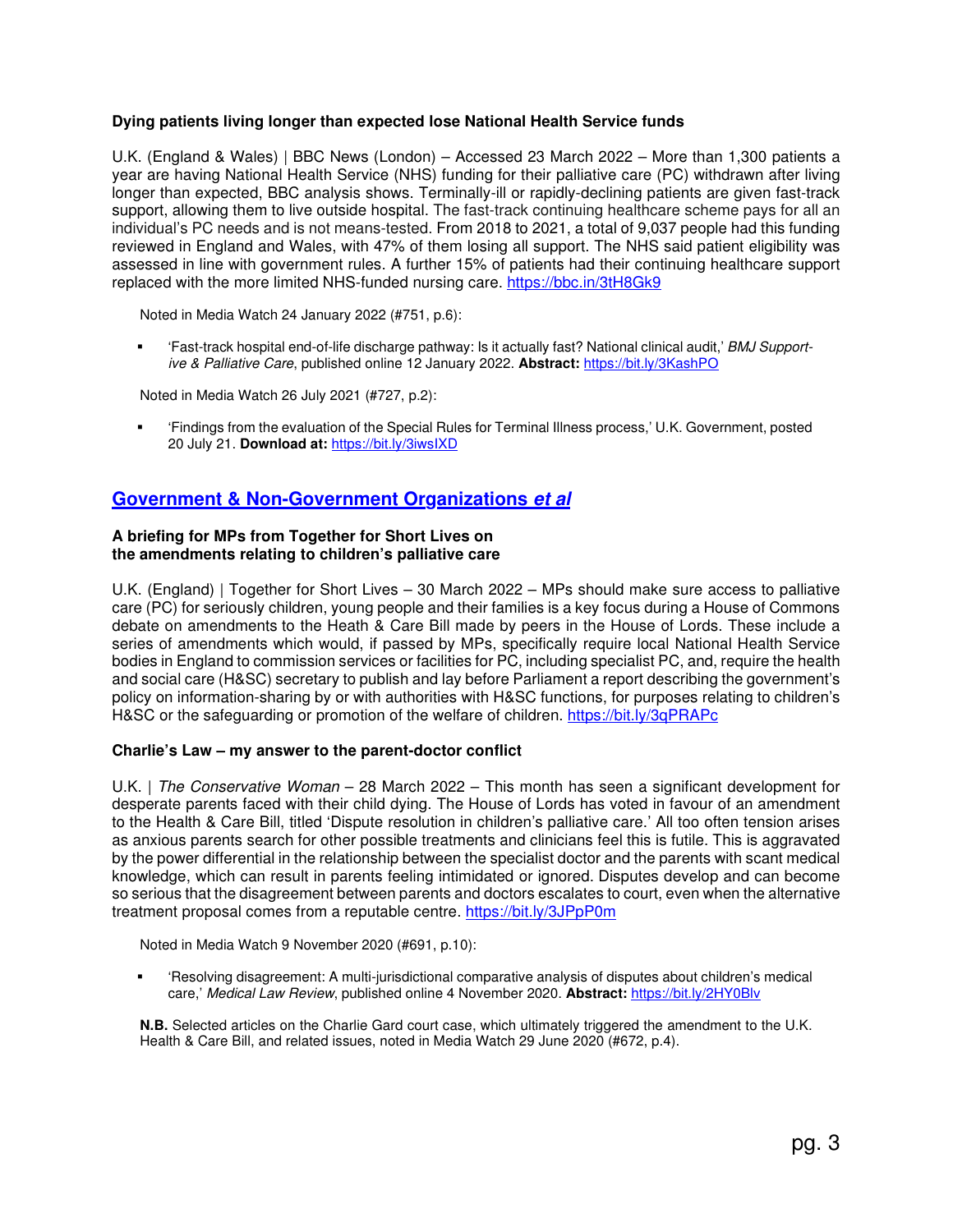## **Dying patients living longer than expected lose National Health Service funds**

U.K. (England & Wales) | BBC News (London) – Accessed 23 March 2022 – More than 1,300 patients a year are having National Health Service (NHS) funding for their palliative care (PC) withdrawn after living longer than expected, BBC analysis shows. Terminally-ill or rapidly-declining patients are given fast-track support, allowing them to live outside hospital. The fast-track continuing healthcare scheme pays for all an individual's PC needs and is not means-tested. From 2018 to 2021, a total of 9,037 people had this funding reviewed in England and Wales, with 47% of them losing all support. The NHS said patient eligibility was assessed in line with government rules. A further 15% of patients had their continuing healthcare support replaced with the more limited NHS-funded nursing care. https://bbc.in/3tH8Gk9

Noted in Media Watch 24 January 2022 (#751, p.6):

 'Fast-track hospital end-of-life discharge pathway: Is it actually fast? National clinical audit,' BMJ Supportive & Palliative Care, published online 12 January 2022. **Abstract:** https://bit.ly/3KashPO

Noted in Media Watch 26 July 2021 (#727, p.2):

 'Findings from the evaluation of the Special Rules for Terminal Illness process,' U.K. Government, posted 20 July 21. **Download at:** https://bit.ly/3iwsIXD

## **Government & Non-Government Organizations et al**

#### **A briefing for MPs from Together for Short Lives on the amendments relating to children's palliative care**

U.K. (England) | Together for Short Lives – 30 March 2022 – MPs should make sure access to palliative care (PC) for seriously children, young people and their families is a key focus during a House of Commons debate on amendments to the Heath & Care Bill made by peers in the House of Lords. These include a series of amendments which would, if passed by MPs, specifically require local National Health Service bodies in England to commission services or facilities for PC, including specialist PC, and, require the health and social care (H&SC) secretary to publish and lay before Parliament a report describing the government's policy on information-sharing by or with authorities with H&SC functions, for purposes relating to children's H&SC or the safeguarding or promotion of the welfare of children. https://bit.ly/3qPRAPc

### **Charlie's Law – my answer to the parent-doctor conflict**

U.K. | The Conservative Woman – 28 March 2022 – This month has seen a significant development for desperate parents faced with their child dying. The House of Lords has voted in favour of an amendment to the Health & Care Bill, titled 'Dispute resolution in children's palliative care.' All too often tension arises as anxious parents search for other possible treatments and clinicians feel this is futile. This is aggravated by the power differential in the relationship between the specialist doctor and the parents with scant medical knowledge, which can result in parents feeling intimidated or ignored. Disputes develop and can become so serious that the disagreement between parents and doctors escalates to court, even when the alternative treatment proposal comes from a reputable centre. https://bit.ly/3JPpP0m

Noted in Media Watch 9 November 2020 (#691, p.10):

 'Resolving disagreement: A multi-jurisdictional comparative analysis of disputes about children's medical care,' Medical Law Review, published online 4 November 2020. **Abstract:** https://bit.ly/2HY0Blv

**N.B.** Selected articles on the Charlie Gard court case, which ultimately triggered the amendment to the U.K. Health & Care Bill, and related issues, noted in Media Watch 29 June 2020 (#672, p.4).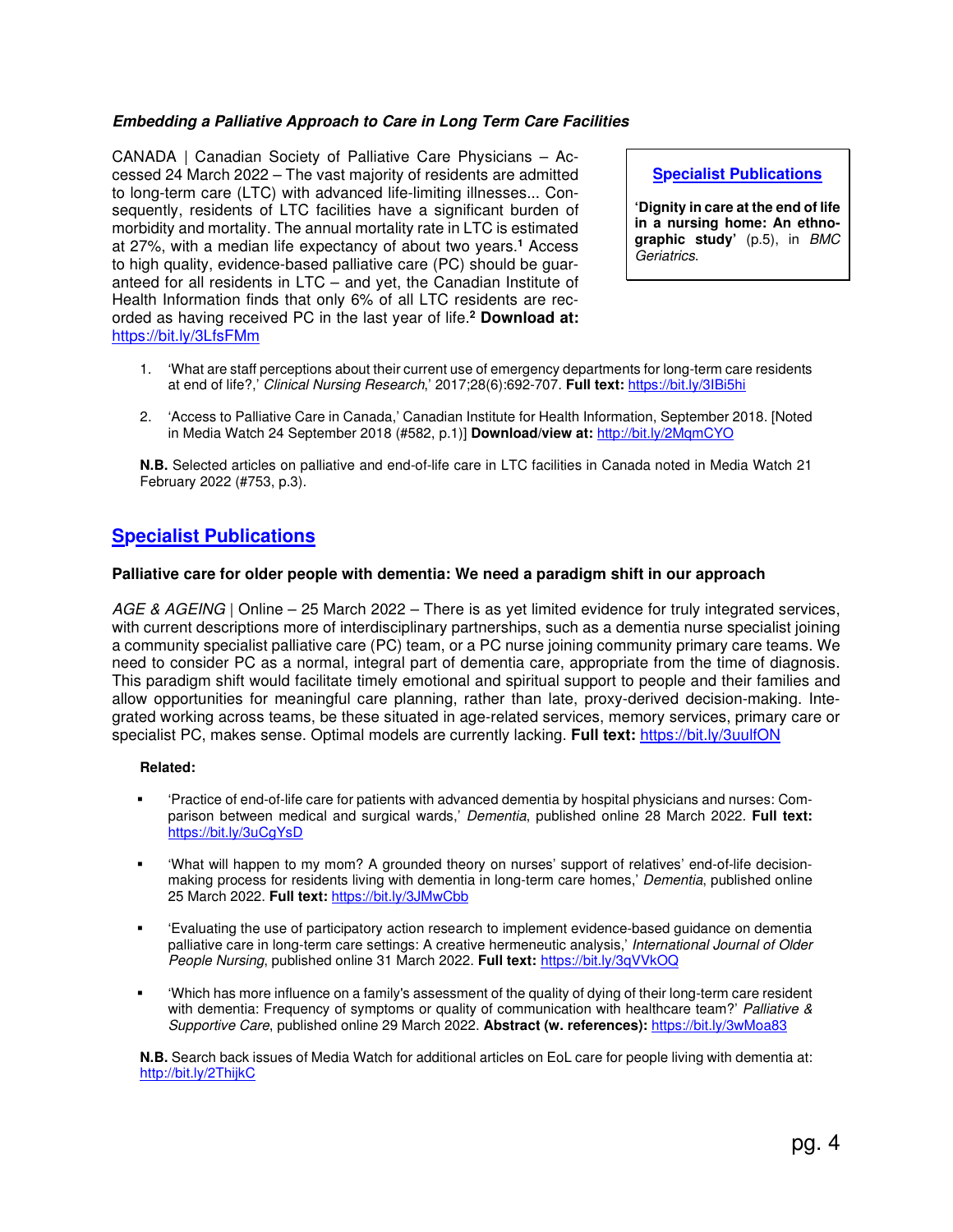## **Embedding a Palliative Approach to Care in Long Term Care Facilities**

CANADA | Canadian Society of Palliative Care Physicians – Accessed 24 March 2022 – The vast majority of residents are admitted to long-term care (LTC) with advanced life-limiting illnesses... Consequently, residents of LTC facilities have a significant burden of morbidity and mortality. The annual mortality rate in LTC is estimated at 27%, with a median life expectancy of about two years.**<sup>1</sup>** Access to high quality, evidence-based palliative care (PC) should be guaranteed for all residents in LTC – and yet, the Canadian Institute of Health Information finds that only 6% of all LTC residents are recorded as having received PC in the last year of life.**<sup>2</sup> Download at:**  https://bit.ly/3LfsFMm

**Specialist Publications**

**'Dignity in care at the end of life in a nursing home: An ethnographic study'** (p.5), in BMC Geriatrics.

- 1. 'What are staff perceptions about their current use of emergency departments for long-term care residents at end of life?,' Clinical Nursing Research,' 2017;28(6):692-707. **Full text:** https://bit.ly/3IBi5hi
- 2. 'Access to Palliative Care in Canada,' Canadian Institute for Health Information, September 2018. [Noted in Media Watch 24 September 2018 (#582, p.1)] **Download/view at:** http://bit.ly/2MqmCYO

**N.B.** Selected articles on palliative and end-of-life care in LTC facilities in Canada noted in Media Watch 21 February 2022 (#753, p.3).

## **Specialist Publications**

### **Palliative care for older people with dementia: We need a paradigm shift in our approach**

AGE & AGEING | Online – 25 March 2022 – There is as yet limited evidence for truly integrated services, with current descriptions more of interdisciplinary partnerships, such as a dementia nurse specialist joining a community specialist palliative care (PC) team, or a PC nurse joining community primary care teams. We need to consider PC as a normal, integral part of dementia care, appropriate from the time of diagnosis. This paradigm shift would facilitate timely emotional and spiritual support to people and their families and allow opportunities for meaningful care planning, rather than late, proxy-derived decision-making. Integrated working across teams, be these situated in age-related services, memory services, primary care or specialist PC, makes sense. Optimal models are currently lacking. **Full text:** https://bit.ly/3uulfON

### **Related:**

- 'Practice of end-of-life care for patients with advanced dementia by hospital physicians and nurses: Comparison between medical and surgical wards,' Dementia, published online 28 March 2022. **Full text:**  https://bit.ly/3uCgYsD
- 'What will happen to my mom? A grounded theory on nurses' support of relatives' end-of-life decisionmaking process for residents living with dementia in long-term care homes,' Dementia, published online 25 March 2022. **Full text:** https://bit.ly/3JMwCbb
- 'Evaluating the use of participatory action research to implement evidence-based guidance on dementia palliative care in long-term care settings: A creative hermeneutic analysis,' International Journal of Older People Nursing, published online 31 March 2022. **Full text:** https://bit.ly/3qVVkOQ
- 'Which has more influence on a family's assessment of the quality of dying of their long-term care resident with dementia: Frequency of symptoms or quality of communication with healthcare team?' Palliative & Supportive Care, published online 29 March 2022. **Abstract (w. references):** https://bit.ly/3wMoa83

**N.B.** Search back issues of Media Watch for additional articles on EoL care for people living with dementia at: http://bit.ly/2ThijkC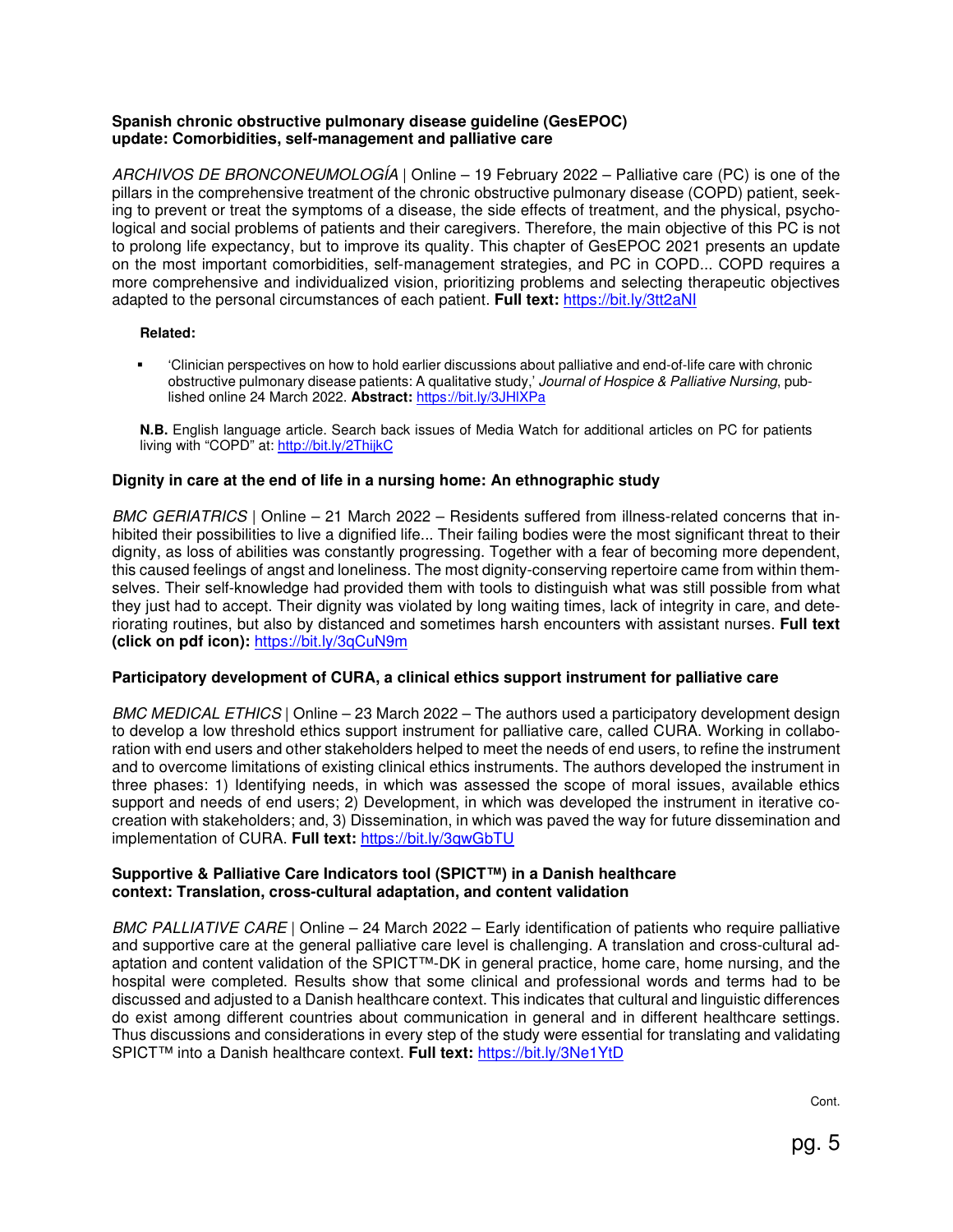## **Spanish chronic obstructive pulmonary disease guideline (GesEPOC) update: Comorbidities, self-management and palliative care**

ARCHIVOS DE BRONCONEUMOLOGÍA | Online – 19 February 2022 – Palliative care (PC) is one of the pillars in the comprehensive treatment of the chronic obstructive pulmonary disease (COPD) patient, seeking to prevent or treat the symptoms of a disease, the side effects of treatment, and the physical, psychological and social problems of patients and their caregivers. Therefore, the main objective of this PC is not to prolong life expectancy, but to improve its quality. This chapter of GesEPOC 2021 presents an update on the most important comorbidities, self-management strategies, and PC in COPD... COPD requires a more comprehensive and individualized vision, prioritizing problems and selecting therapeutic objectives adapted to the personal circumstances of each patient. **Full text:** https://bit.ly/3tt2aNI

### **Related:**

 'Clinician perspectives on how to hold earlier discussions about palliative and end-of-life care with chronic obstructive pulmonary disease patients: A qualitative study,' Journal of Hospice & Palliative Nursing, published online 24 March 2022. **Abstract:** https://bit.ly/3JHlXPa

**N.B.** English language article. Search back issues of Media Watch for additional articles on PC for patients living with "COPD" at: http://bit.ly/2ThijkC

## **Dignity in care at the end of life in a nursing home: An ethnographic study**

BMC GERIATRICS | Online – 21 March 2022 – Residents suffered from illness-related concerns that inhibited their possibilities to live a dignified life... Their failing bodies were the most significant threat to their dignity, as loss of abilities was constantly progressing. Together with a fear of becoming more dependent, this caused feelings of angst and loneliness. The most dignity-conserving repertoire came from within themselves. Their self-knowledge had provided them with tools to distinguish what was still possible from what they just had to accept. Their dignity was violated by long waiting times, lack of integrity in care, and deteriorating routines, but also by distanced and sometimes harsh encounters with assistant nurses. **Full text (click on pdf icon):** https://bit.ly/3qCuN9m

## **Participatory development of CURA, a clinical ethics support instrument for palliative care**

BMC MEDICAL ETHICS | Online – 23 March 2022 – The authors used a participatory development design to develop a low threshold ethics support instrument for palliative care, called CURA. Working in collaboration with end users and other stakeholders helped to meet the needs of end users, to refine the instrument and to overcome limitations of existing clinical ethics instruments. The authors developed the instrument in three phases: 1) Identifying needs, in which was assessed the scope of moral issues, available ethics support and needs of end users; 2) Development, in which was developed the instrument in iterative cocreation with stakeholders; and, 3) Dissemination, in which was paved the way for future dissemination and implementation of CURA. **Full text:** https://bit.ly/3qwGbTU

### **Supportive & Palliative Care Indicators tool (SPICT™) in a Danish healthcare context: Translation, cross-cultural adaptation, and content validation**

BMC PALLIATIVE CARE | Online – 24 March 2022 – Early identification of patients who require palliative and supportive care at the general palliative care level is challenging. A translation and cross-cultural adaptation and content validation of the SPICT™-DK in general practice, home care, home nursing, and the hospital were completed. Results show that some clinical and professional words and terms had to be discussed and adjusted to a Danish healthcare context. This indicates that cultural and linguistic differences do exist among different countries about communication in general and in different healthcare settings. Thus discussions and considerations in every step of the study were essential for translating and validating SPICT™ into a Danish healthcare context. **Full text:** https://bit.ly/3Ne1YtD

Cont.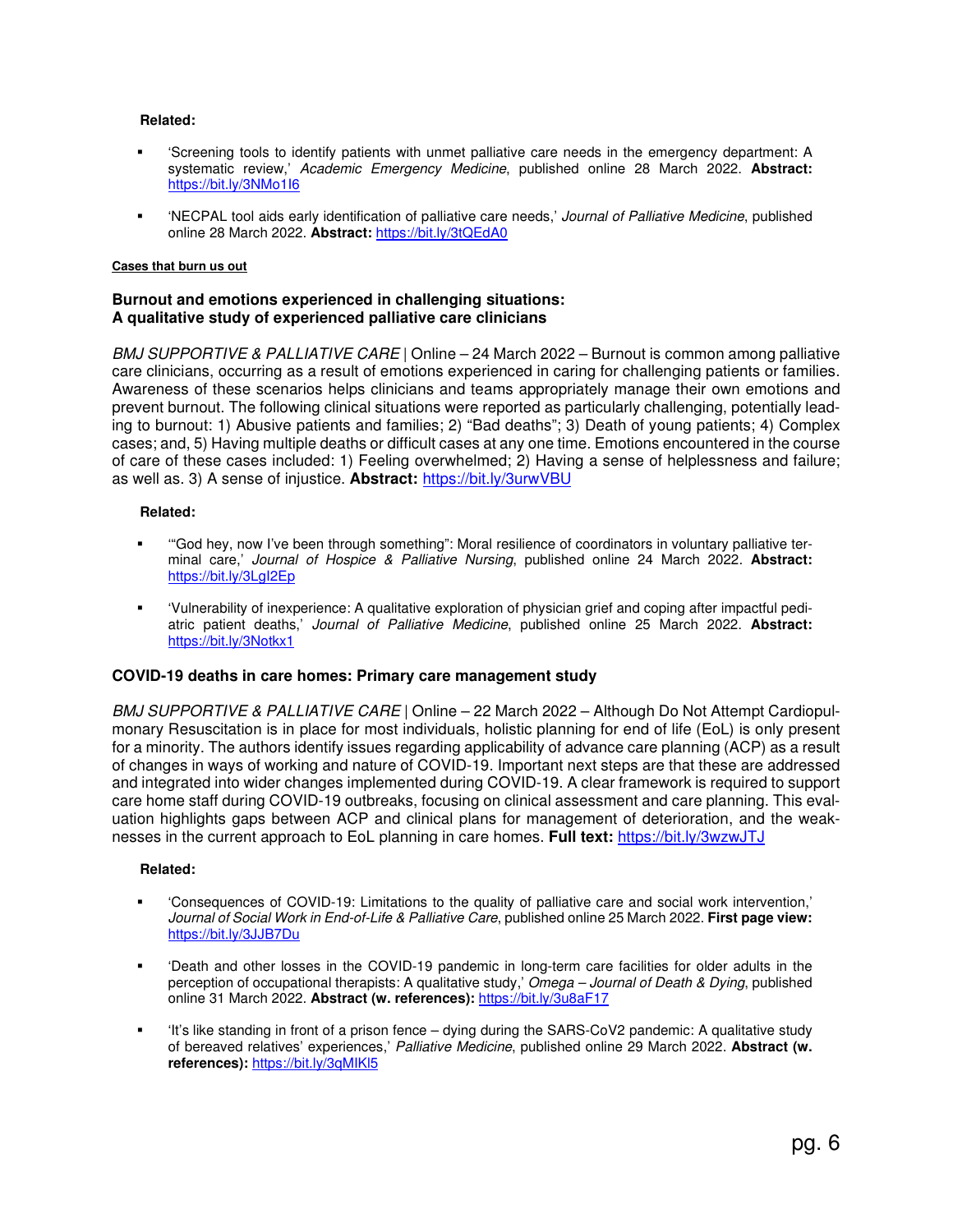#### **Related:**

- 'Screening tools to identify patients with unmet palliative care needs in the emergency department: A systematic review,' Academic Emergency Medicine, published online 28 March 2022. **Abstract:** https://bit.ly/3NMo1I6
- 'NECPAL tool aids early identification of palliative care needs,' Journal of Palliative Medicine, published online 28 March 2022. **Abstract:** https://bit.ly/3tQEdA0

#### **Cases that burn us out**

### **Burnout and emotions experienced in challenging situations: A qualitative study of experienced palliative care clinicians**

BMJ SUPPORTIVE & PALLIATIVE CARE | Online – 24 March 2022 – Burnout is common among palliative care clinicians, occurring as a result of emotions experienced in caring for challenging patients or families. Awareness of these scenarios helps clinicians and teams appropriately manage their own emotions and prevent burnout. The following clinical situations were reported as particularly challenging, potentially leading to burnout: 1) Abusive patients and families; 2) "Bad deaths"; 3) Death of young patients; 4) Complex cases; and, 5) Having multiple deaths or difficult cases at any one time. Emotions encountered in the course of care of these cases included: 1) Feeling overwhelmed; 2) Having a sense of helplessness and failure; as well as. 3) A sense of injustice. **Abstract:** https://bit.ly/3urwVBU

#### **Related:**

- '"God hey, now I've been through something": Moral resilience of coordinators in voluntary palliative terminal care,' Journal of Hospice & Palliative Nursing, published online 24 March 2022. **Abstract:** https://bit.ly/3LgI2Ep
- 'Vulnerability of inexperience: A qualitative exploration of physician grief and coping after impactful pediatric patient deaths,' Journal of Palliative Medicine, published online 25 March 2022. **Abstract:** https://bit.ly/3Notkx1

### **COVID-19 deaths in care homes: Primary care management study**

BMJ SUPPORTIVE & PALLIATIVE CARE | Online – 22 March 2022 – Although Do Not Attempt Cardiopulmonary Resuscitation is in place for most individuals, holistic planning for end of life (EoL) is only present for a minority. The authors identify issues regarding applicability of advance care planning (ACP) as a result of changes in ways of working and nature of COVID-19. Important next steps are that these are addressed and integrated into wider changes implemented during COVID-19. A clear framework is required to support care home staff during COVID-19 outbreaks, focusing on clinical assessment and care planning. This evaluation highlights gaps between ACP and clinical plans for management of deterioration, and the weaknesses in the current approach to EoL planning in care homes. **Full text:** https://bit.ly/3wzwJTJ

#### **Related:**

- 'Consequences of COVID-19: Limitations to the quality of palliative care and social work intervention,' Journal of Social Work in End-of-Life & Palliative Care, published online 25 March 2022. **First page view:** https://bit.ly/3JJB7Du
- 'Death and other losses in the COVID-19 pandemic in long-term care facilities for older adults in the perception of occupational therapists: A qualitative study,' Omega – Journal of Death & Dying, published online 31 March 2022. **Abstract (w. references):** https://bit.ly/3u8aF17
- 'It's like standing in front of a prison fence dying during the SARS-CoV2 pandemic: A qualitative study of bereaved relatives' experiences,' Palliative Medicine, published online 29 March 2022. **Abstract (w. references):** https://bit.ly/3qMIKl5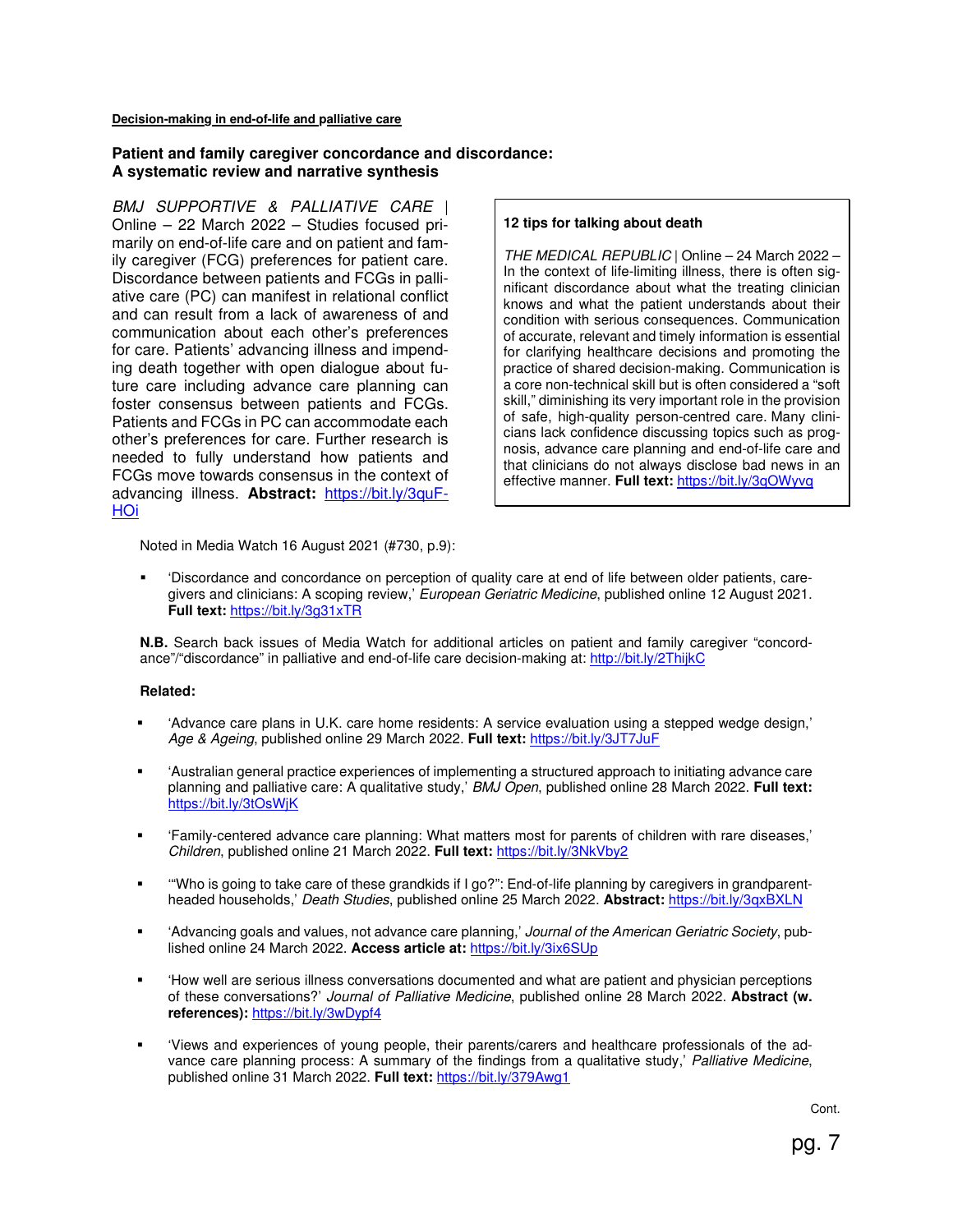#### **Decision-making in end-of-life and palliative care**

#### **Patient and family caregiver concordance and discordance: A systematic review and narrative synthesis**

BMJ SUPPORTIVE & PALLIATIVE CARE | Online – 22 March 2022 – Studies focused primarily on end-of-life care and on patient and family caregiver (FCG) preferences for patient care. Discordance between patients and FCGs in palliative care (PC) can manifest in relational conflict and can result from a lack of awareness of and communication about each other's preferences for care. Patients' advancing illness and impending death together with open dialogue about future care including advance care planning can foster consensus between patients and FCGs. Patients and FCGs in PC can accommodate each other's preferences for care. Further research is needed to fully understand how patients and FCGs move towards consensus in the context of advancing illness. **Abstract:** https://bit.ly/3quF-HOi

#### **12 tips for talking about death**

THE MEDICAL REPUBLIC | Online – 24 March 2022 – In the context of life-limiting illness, there is often significant discordance about what the treating clinician knows and what the patient understands about their condition with serious consequences. Communication of accurate, relevant and timely information is essential for clarifying healthcare decisions and promoting the practice of shared decision-making. Communication is a core non-technical skill but is often considered a "soft skill," diminishing its very important role in the provision of safe, high-quality person-centred care. Many clinicians lack confidence discussing topics such as prognosis, advance care planning and end-of-life care and that clinicians do not always disclose bad news in an effective manner. **Full text:** https://bit.ly/3qOWyvq

Noted in Media Watch 16 August 2021 (#730, p.9):

 'Discordance and concordance on perception of quality care at end of life between older patients, caregivers and clinicians: A scoping review,' European Geriatric Medicine, published online 12 August 2021. **Full text:** https://bit.ly/3g31xTR

**N.B.** Search back issues of Media Watch for additional articles on patient and family caregiver "concordance"/"discordance" in palliative and end-of-life care decision-making at: http://bit.ly/2ThijkC

#### **Related:**

- 'Advance care plans in U.K. care home residents: A service evaluation using a stepped wedge design,' Age & Ageing, published online 29 March 2022. **Full text:** https://bit.ly/3JT7JuF
- 'Australian general practice experiences of implementing a structured approach to initiating advance care planning and palliative care: A qualitative study,' BMJ Open, published online 28 March 2022. **Full text:** https://bit.ly/3tOsWjK
- 'Family-centered advance care planning: What matters most for parents of children with rare diseases,' Children, published online 21 March 2022. **Full text:** https://bit.ly/3NkVby2
- '"Who is going to take care of these grandkids if I go?": End-of-life planning by caregivers in grandparentheaded households,' Death Studies, published online 25 March 2022. **Abstract:** https://bit.ly/3qxBXLN
- 'Advancing goals and values, not advance care planning,' Journal of the American Geriatric Society, published online 24 March 2022. **Access article at:** https://bit.ly/3ix6SUp
- 'How well are serious illness conversations documented and what are patient and physician perceptions of these conversations?' Journal of Palliative Medicine, published online 28 March 2022. **Abstract (w. references):** https://bit.ly/3wDypf4
- 'Views and experiences of young people, their parents/carers and healthcare professionals of the advance care planning process: A summary of the findings from a qualitative study,' Palliative Medicine, published online 31 March 2022. **Full text:** https://bit.ly/379Awg1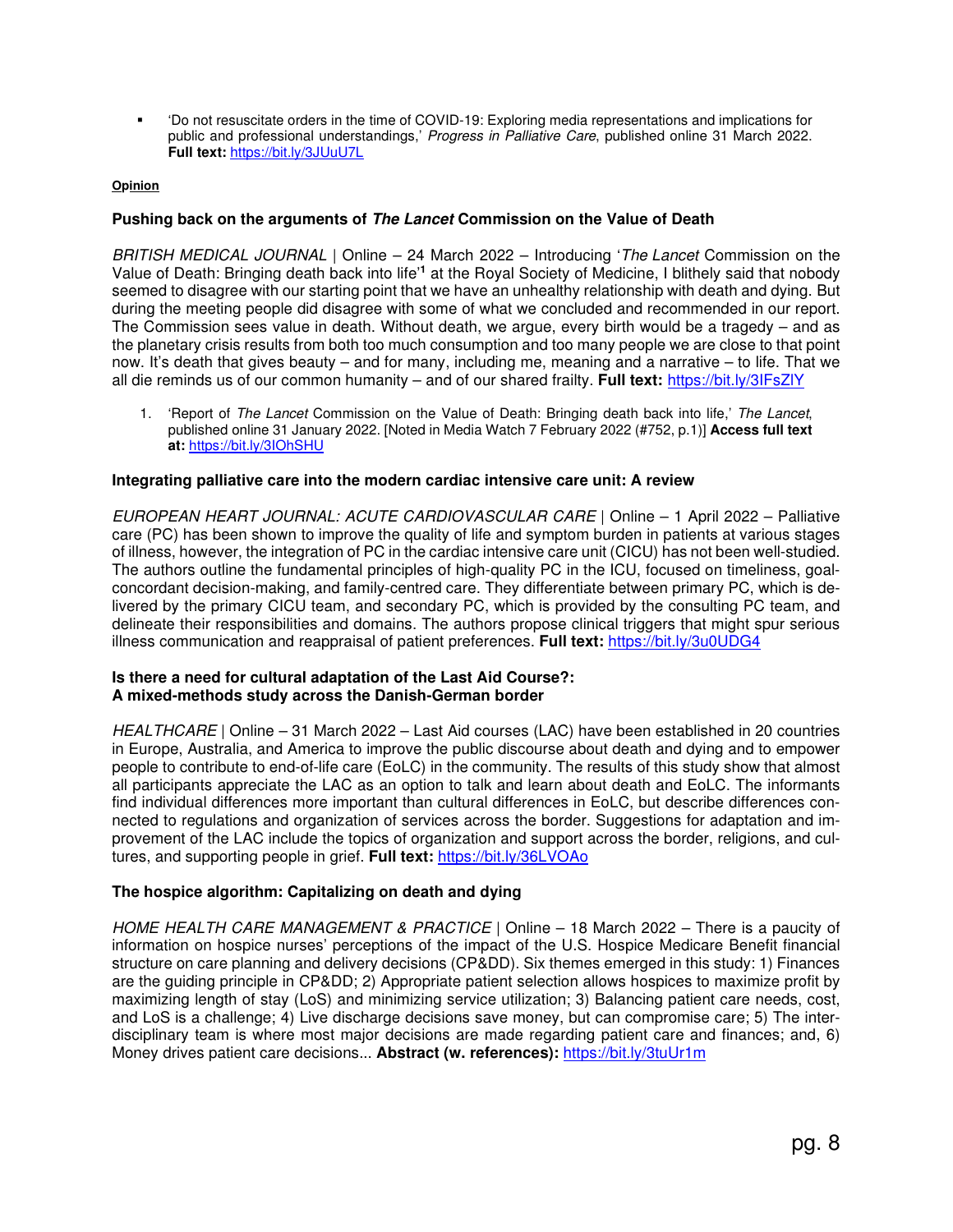'Do not resuscitate orders in the time of COVID-19: Exploring media representations and implications for public and professional understandings,' Progress in Palliative Care, published online 31 March 2022. **Full text:** https://bit.ly/3JUuU7L

### **Opinion**

## **Pushing back on the arguments of The Lancet Commission on the Value of Death**

BRITISH MEDICAL JOURNAL | Online - 24 March 2022 - Introducing 'The Lancet Commission on the Value of Death: Bringing death back into life<sup>'1</sup> at the Royal Society of Medicine, I blithely said that nobody seemed to disagree with our starting point that we have an unhealthy relationship with death and dying. But during the meeting people did disagree with some of what we concluded and recommended in our report. The Commission sees value in death. Without death, we argue, every birth would be a tragedy – and as the planetary crisis results from both too much consumption and too many people we are close to that point now. It's death that gives beauty – and for many, including me, meaning and a narrative – to life. That we all die reminds us of our common humanity – and of our shared frailty. **Full text:** https://bit.ly/3IFsZlY

1. 'Report of The Lancet Commission on the Value of Death: Bringing death back into life,' The Lancet, published online 31 January 2022. [Noted in Media Watch 7 February 2022 (#752, p.1)] **Access full text at:** https://bit.ly/3IOhSHU

### **Integrating palliative care into the modern cardiac intensive care unit: A review**

EUROPEAN HEART JOURNAL: ACUTE CARDIOVASCULAR CARE | Online – 1 April 2022 – Palliative care (PC) has been shown to improve the quality of life and symptom burden in patients at various stages of illness, however, the integration of PC in the cardiac intensive care unit (CICU) has not been well-studied. The authors outline the fundamental principles of high-quality PC in the ICU, focused on timeliness, goalconcordant decision-making, and family-centred care. They differentiate between primary PC, which is delivered by the primary CICU team, and secondary PC, which is provided by the consulting PC team, and delineate their responsibilities and domains. The authors propose clinical triggers that might spur serious illness communication and reappraisal of patient preferences. **Full text:** https://bit.ly/3u0UDG4

## **Is there a need for cultural adaptation of the Last Aid Course?: A mixed-methods study across the Danish-German border**

HEALTHCARE | Online – 31 March 2022 – Last Aid courses (LAC) have been established in 20 countries in Europe, Australia, and America to improve the public discourse about death and dying and to empower people to contribute to end-of-life care (EoLC) in the community. The results of this study show that almost all participants appreciate the LAC as an option to talk and learn about death and EoLC. The informants find individual differences more important than cultural differences in EoLC, but describe differences connected to regulations and organization of services across the border. Suggestions for adaptation and improvement of the LAC include the topics of organization and support across the border, religions, and cultures, and supporting people in grief. **Full text:** https://bit.ly/36LVOAo

### **The hospice algorithm: Capitalizing on death and dying**

HOME HEALTH CARE MANAGEMENT & PRACTICE | Online - 18 March 2022 - There is a paucity of information on hospice nurses' perceptions of the impact of the U.S. Hospice Medicare Benefit financial structure on care planning and delivery decisions (CP&DD). Six themes emerged in this study: 1) Finances are the guiding principle in CPⅅ 2) Appropriate patient selection allows hospices to maximize profit by maximizing length of stay (LoS) and minimizing service utilization; 3) Balancing patient care needs, cost, and LoS is a challenge; 4) Live discharge decisions save money, but can compromise care; 5) The interdisciplinary team is where most major decisions are made regarding patient care and finances; and, 6) Money drives patient care decisions... **Abstract (w. references):** https://bit.ly/3tuUr1m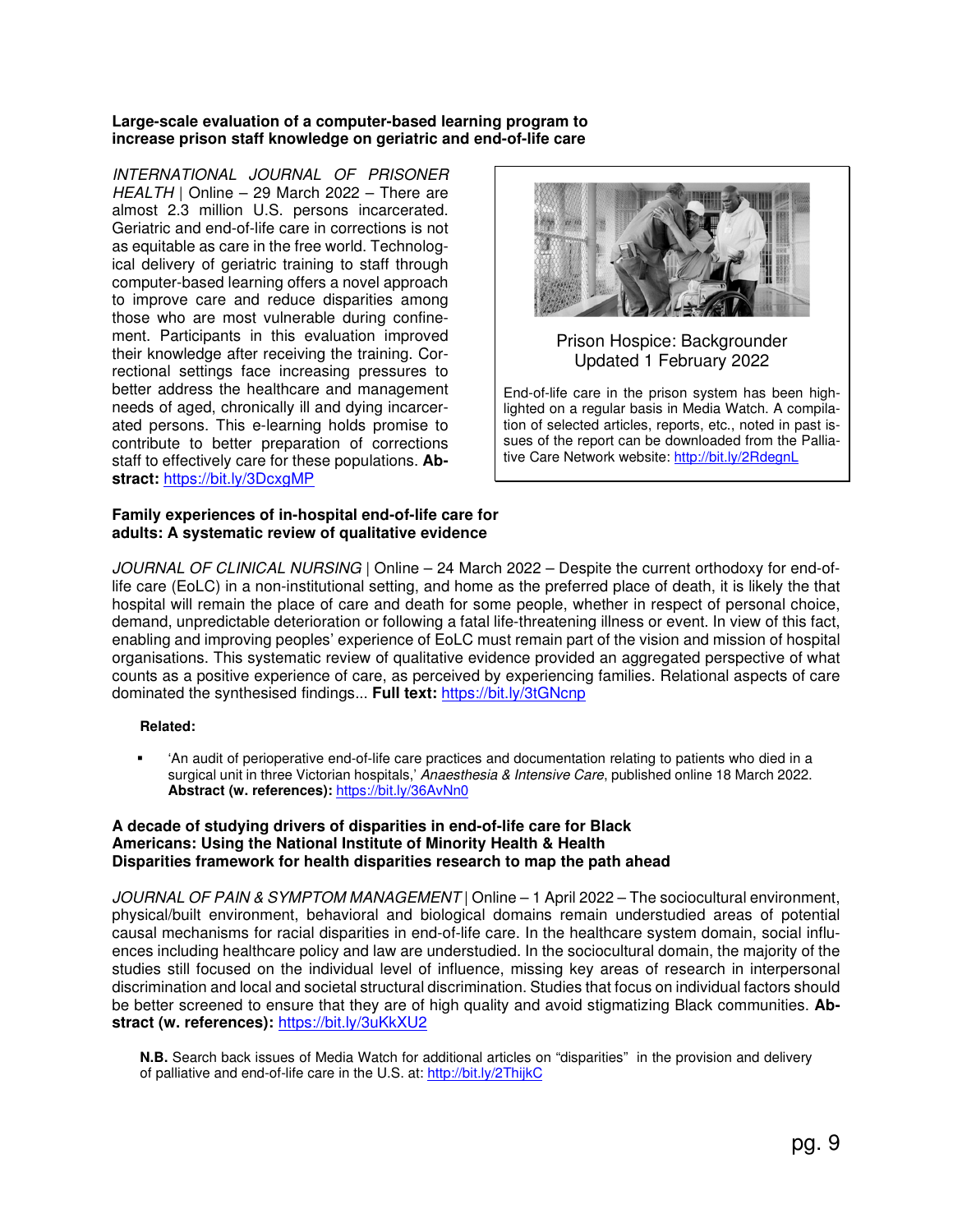## **Large-scale evaluation of a computer-based learning program to increase prison staff knowledge on geriatric and end-of-life care**

INTERNATIONAL JOURNAL OF PRISONER HEALTH | Online – 29 March 2022 – There are almost 2.3 million U.S. persons incarcerated. Geriatric and end-of-life care in corrections is not as equitable as care in the free world. Technological delivery of geriatric training to staff through computer-based learning offers a novel approach to improve care and reduce disparities among those who are most vulnerable during confinement. Participants in this evaluation improved their knowledge after receiving the training. Correctional settings face increasing pressures to better address the healthcare and management needs of aged, chronically ill and dying incarcerated persons. This e-learning holds promise to contribute to better preparation of corrections staff to effectively care for these populations. **Abstract:** https://bit.ly/3DcxgMP



## Prison Hospice: Backgrounder Updated 1 February 2022

End-of-life care in the prison system has been highlighted on a regular basis in Media Watch. A compilation of selected articles, reports, etc., noted in past issues of the report can be downloaded from the Palliative Care Network website: http://bit.ly/2RdegnL

#### **Family experiences of in-hospital end-of-life care for adults: A systematic review of qualitative evidence**

JOURNAL OF CLINICAL NURSING | Online – 24 March 2022 – Despite the current orthodoxy for end-oflife care (EoLC) in a non-institutional setting, and home as the preferred place of death, it is likely the that hospital will remain the place of care and death for some people, whether in respect of personal choice, demand, unpredictable deterioration or following a fatal life-threatening illness or event. In view of this fact, enabling and improving peoples' experience of EoLC must remain part of the vision and mission of hospital organisations. This systematic review of qualitative evidence provided an aggregated perspective of what counts as a positive experience of care, as perceived by experiencing families. Relational aspects of care dominated the synthesised findings... **Full text:** https://bit.ly/3tGNcnp

## **Related:**

 'An audit of perioperative end-of-life care practices and documentation relating to patients who died in a surgical unit in three Victorian hospitals,' Anaesthesia & Intensive Care, published online 18 March 2022. **Abstract (w. references):** https://bit.ly/36AvNn0

### **A decade of studying drivers of disparities in end-of-life care for Black Americans: Using the National Institute of Minority Health & Health Disparities framework for health disparities research to map the path ahead**

JOURNAL OF PAIN & SYMPTOM MANAGEMENT | Online - 1 April 2022 - The sociocultural environment, physical/built environment, behavioral and biological domains remain understudied areas of potential causal mechanisms for racial disparities in end-of-life care. In the healthcare system domain, social influences including healthcare policy and law are understudied. In the sociocultural domain, the majority of the studies still focused on the individual level of influence, missing key areas of research in interpersonal discrimination and local and societal structural discrimination. Studies that focus on individual factors should be better screened to ensure that they are of high quality and avoid stigmatizing Black communities. **Abstract (w. references):** https://bit.ly/3uKkXU2

**N.B.** Search back issues of Media Watch for additional articles on "disparities" in the provision and delivery of palliative and end-of-life care in the U.S. at: http://bit.ly/2ThijkC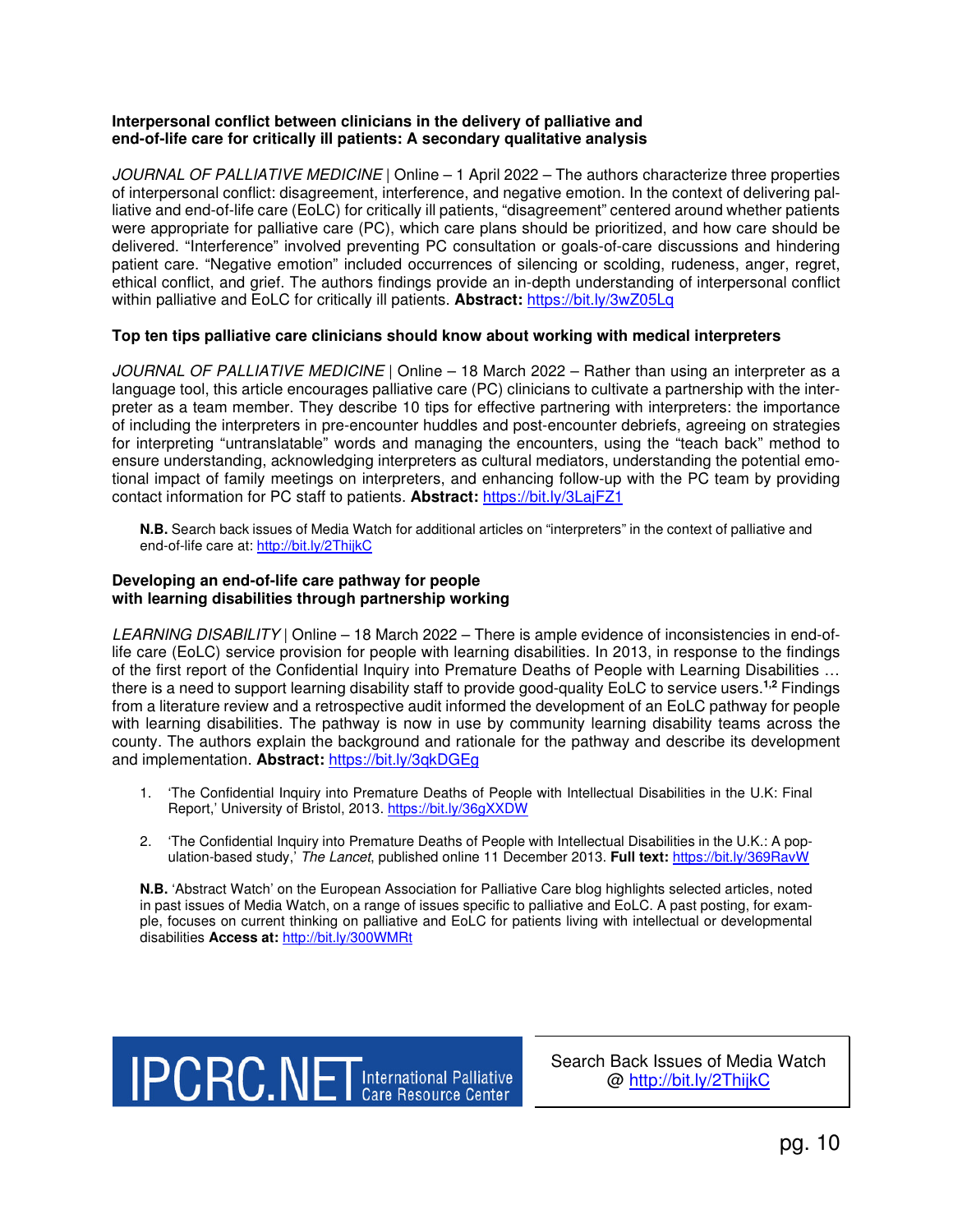## **Interpersonal conflict between clinicians in the delivery of palliative and end-of-life care for critically ill patients: A secondary qualitative analysis**

JOURNAL OF PALLIATIVE MEDICINE | Online – 1 April 2022 – The authors characterize three properties of interpersonal conflict: disagreement, interference, and negative emotion. In the context of delivering palliative and end-of-life care (EoLC) for critically ill patients, "disagreement" centered around whether patients were appropriate for palliative care (PC), which care plans should be prioritized, and how care should be delivered. "Interference" involved preventing PC consultation or goals-of-care discussions and hindering patient care. "Negative emotion" included occurrences of silencing or scolding, rudeness, anger, regret, ethical conflict, and grief. The authors findings provide an in-depth understanding of interpersonal conflict within palliative and EoLC for critically ill patients. **Abstract:** https://bit.ly/3wZ05Lq

## **Top ten tips palliative care clinicians should know about working with medical interpreters**

JOURNAL OF PALLIATIVE MEDICINE | Online – 18 March 2022 – Rather than using an interpreter as a language tool, this article encourages palliative care (PC) clinicians to cultivate a partnership with the interpreter as a team member. They describe 10 tips for effective partnering with interpreters: the importance of including the interpreters in pre-encounter huddles and post-encounter debriefs, agreeing on strategies for interpreting "untranslatable" words and managing the encounters, using the "teach back" method to ensure understanding, acknowledging interpreters as cultural mediators, understanding the potential emotional impact of family meetings on interpreters, and enhancing follow-up with the PC team by providing contact information for PC staff to patients. **Abstract:** https://bit.ly/3LajFZ1

**N.B.** Search back issues of Media Watch for additional articles on "interpreters" in the context of palliative and end-of-life care at: http://bit.ly/2ThijkC

#### **Developing an end-of-life care pathway for people with learning disabilities through partnership working**

LEARNING DISABILITY | Online - 18 March 2022 - There is ample evidence of inconsistencies in end-oflife care (EoLC) service provision for people with learning disabilities. In 2013, in response to the findings of the first report of the Confidential Inquiry into Premature Deaths of People with Learning Disabilities … there is a need to support learning disability staff to provide good-quality EoLC to service users.**1,2** Findings from a literature review and a retrospective audit informed the development of an EoLC pathway for people with learning disabilities. The pathway is now in use by community learning disability teams across the county. The authors explain the background and rationale for the pathway and describe its development and implementation. **Abstract:** https://bit.ly/3qkDGEg

- 1. 'The Confidential Inquiry into Premature Deaths of People with Intellectual Disabilities in the U.K: Final Report,' University of Bristol, 2013. https://bit.ly/36gXXDW
- 2. 'The Confidential Inquiry into Premature Deaths of People with Intellectual Disabilities in the U.K.: A population-based study,' The Lancet, published online 11 December 2013. **Full text:** https://bit.ly/369RavW

**N.B.** 'Abstract Watch' on the European Association for Palliative Care blog highlights selected articles, noted in past issues of Media Watch, on a range of issues specific to palliative and EoLC. A past posting, for example, focuses on current thinking on palliative and EoLC for patients living with intellectual or developmental disabilities **Access at:** http://bit.ly/300WMRt

**IPCRC.NET**International Palliative

Search Back Issues of Media Watch @ http://bit.ly/2ThijkC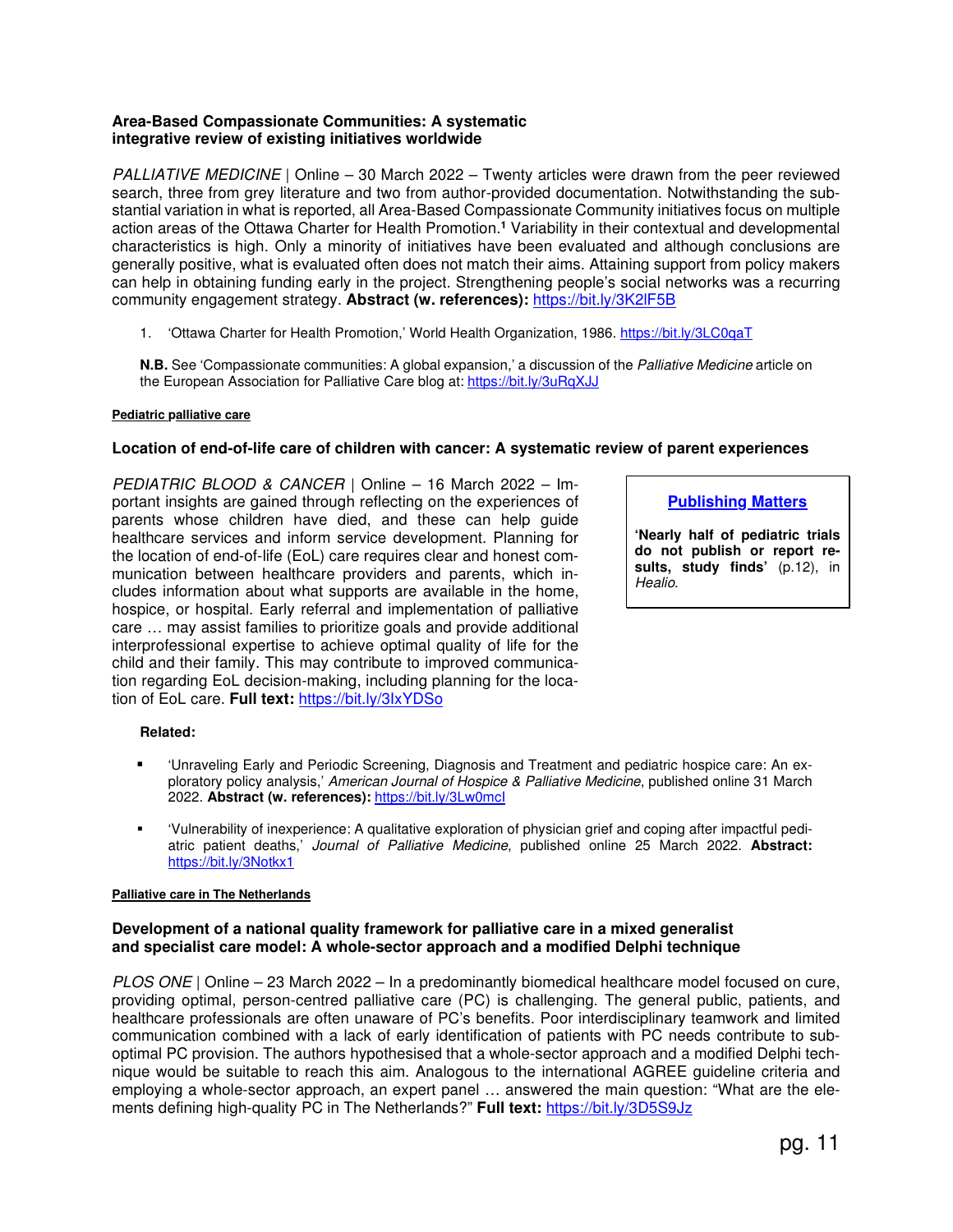## **Area-Based Compassionate Communities: A systematic integrative review of existing initiatives worldwide**

PALLIATIVE MEDICINE | Online – 30 March 2022 – Twenty articles were drawn from the peer reviewed search, three from grey literature and two from author-provided documentation. Notwithstanding the substantial variation in what is reported, all Area-Based Compassionate Community initiatives focus on multiple action areas of the Ottawa Charter for Health Promotion.**<sup>1</sup>** Variability in their contextual and developmental characteristics is high. Only a minority of initiatives have been evaluated and although conclusions are generally positive, what is evaluated often does not match their aims. Attaining support from policy makers can help in obtaining funding early in the project. Strengthening people's social networks was a recurring community engagement strategy. **Abstract (w. references):** https://bit.ly/3K2lF5B

1. 'Ottawa Charter for Health Promotion,' World Health Organization, 1986. https://bit.ly/3LC0qaT

**N.B.** See 'Compassionate communities: A global expansion,' a discussion of the Palliative Medicine article on the European Association for Palliative Care blog at: https://bit.ly/3uRqXJJ

### **Pediatric palliative care**

## **Location of end-of-life care of children with cancer: A systematic review of parent experiences**

PEDIATRIC BLOOD & CANCER | Online – 16 March 2022 – Important insights are gained through reflecting on the experiences of parents whose children have died, and these can help guide healthcare services and inform service development. Planning for the location of end-of-life (EoL) care requires clear and honest communication between healthcare providers and parents, which includes information about what supports are available in the home, hospice, or hospital. Early referral and implementation of palliative care … may assist families to prioritize goals and provide additional interprofessional expertise to achieve optimal quality of life for the child and their family. This may contribute to improved communication regarding EoL decision-making, including planning for the location of EoL care. **Full text:** https://bit.ly/3IxYDSo

**Publishing Matters**

**'Nearly half of pediatric trials do not publish or report results, study finds'** (p.12), in Healio.

### **Related:**

- 'Unraveling Early and Periodic Screening, Diagnosis and Treatment and pediatric hospice care: An exploratory policy analysis,' American Journal of Hospice & Palliative Medicine, published online 31 March 2022. **Abstract (w. references):** https://bit.ly/3Lw0mcI
- 'Vulnerability of inexperience: A qualitative exploration of physician grief and coping after impactful pediatric patient deaths,' Journal of Palliative Medicine, published online 25 March 2022. **Abstract:** https://bit.ly/3Notkx1

### **Palliative care in The Netherlands**

### **Development of a national quality framework for palliative care in a mixed generalist and specialist care model: A whole-sector approach and a modified Delphi technique**

PLOS ONE | Online – 23 March 2022 – In a predominantly biomedical healthcare model focused on cure, providing optimal, person-centred palliative care (PC) is challenging. The general public, patients, and healthcare professionals are often unaware of PC's benefits. Poor interdisciplinary teamwork and limited communication combined with a lack of early identification of patients with PC needs contribute to suboptimal PC provision. The authors hypothesised that a whole-sector approach and a modified Delphi technique would be suitable to reach this aim. Analogous to the international AGREE guideline criteria and employing a whole-sector approach, an expert panel … answered the main question: "What are the elements defining high-quality PC in The Netherlands?" **Full text:** https://bit.ly/3D5S9Jz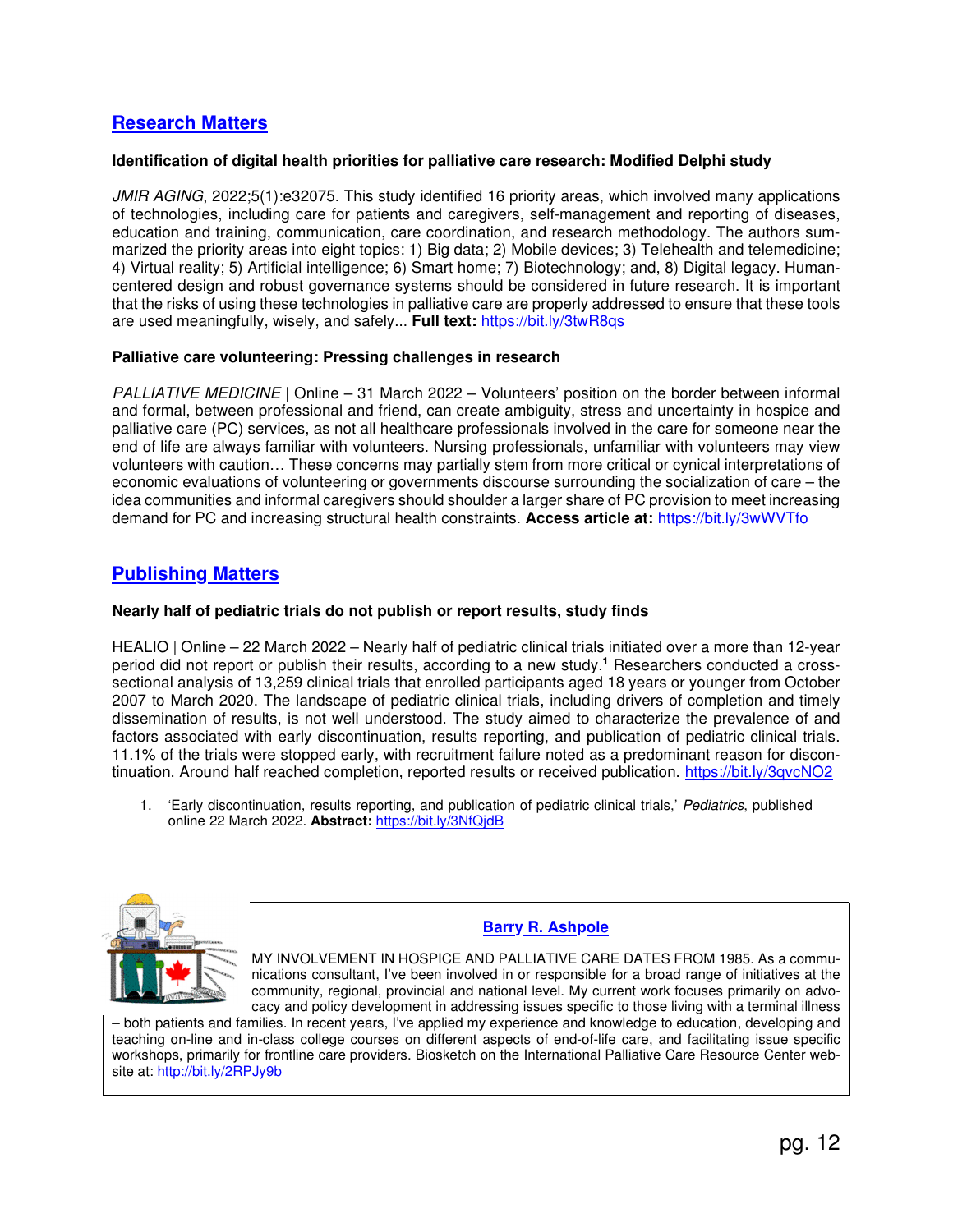## **Research Matters**

## **Identification of digital health priorities for palliative care research: Modified Delphi study**

JMIR AGING, 2022;5(1):e32075. This study identified 16 priority areas, which involved many applications of technologies, including care for patients and caregivers, self-management and reporting of diseases, education and training, communication, care coordination, and research methodology. The authors summarized the priority areas into eight topics: 1) Big data; 2) Mobile devices; 3) Telehealth and telemedicine; 4) Virtual reality; 5) Artificial intelligence; 6) Smart home; 7) Biotechnology; and, 8) Digital legacy. Humancentered design and robust governance systems should be considered in future research. It is important that the risks of using these technologies in palliative care are properly addressed to ensure that these tools are used meaningfully, wisely, and safely... **Full text:** https://bit.ly/3twR8qs

## **Palliative care volunteering: Pressing challenges in research**

PALLIATIVE MEDICINE | Online – 31 March 2022 – Volunteers' position on the border between informal and formal, between professional and friend, can create ambiguity, stress and uncertainty in hospice and palliative care (PC) services, as not all healthcare professionals involved in the care for someone near the end of life are always familiar with volunteers. Nursing professionals, unfamiliar with volunteers may view volunteers with caution… These concerns may partially stem from more critical or cynical interpretations of economic evaluations of volunteering or governments discourse surrounding the socialization of care – the idea communities and informal caregivers should shoulder a larger share of PC provision to meet increasing demand for PC and increasing structural health constraints. **Access article at:** https://bit.ly/3wWVTfo

## **Publishing Matters**

## **Nearly half of pediatric trials do not publish or report results, study finds**

HEALIO | Online – 22 March 2022 – Nearly half of pediatric clinical trials initiated over a more than 12-year period did not report or publish their results, according to a new study.**<sup>1</sup>** Researchers conducted a crosssectional analysis of 13,259 clinical trials that enrolled participants aged 18 years or younger from October 2007 to March 2020. The landscape of pediatric clinical trials, including drivers of completion and timely dissemination of results, is not well understood. The study aimed to characterize the prevalence of and factors associated with early discontinuation, results reporting, and publication of pediatric clinical trials. 11.1% of the trials were stopped early, with recruitment failure noted as a predominant reason for discontinuation. Around half reached completion, reported results or received publication. https://bit.ly/3qvcNO2

1. 'Early discontinuation, results reporting, and publication of pediatric clinical trials,' Pediatrics, published online 22 March 2022. **Abstract:** https://bit.ly/3NfQjdB



## **Barry R. Ashpole**

MY INVOLVEMENT IN HOSPICE AND PALLIATIVE CARE DATES FROM 1985. As a communications consultant, I've been involved in or responsible for a broad range of initiatives at the community, regional, provincial and national level. My current work focuses primarily on advocacy and policy development in addressing issues specific to those living with a terminal illness

– both patients and families. In recent years, I've applied my experience and knowledge to education, developing and teaching on-line and in-class college courses on different aspects of end-of-life care, and facilitating issue specific workshops, primarily for frontline care providers. Biosketch on the International Palliative Care Resource Center website at: http://bit.ly/2RPJy9b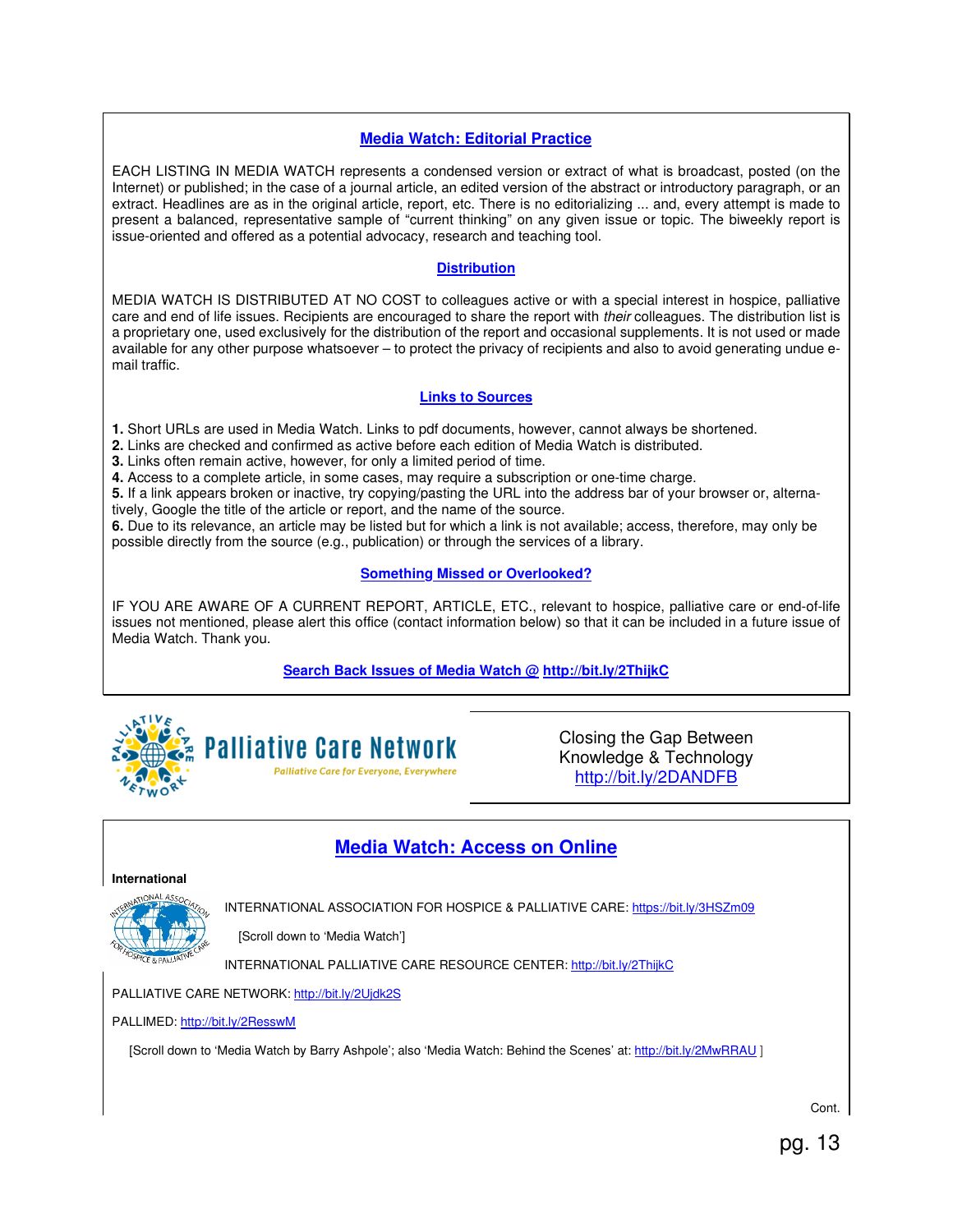## **Media Watch: Editorial Practice**

EACH LISTING IN MEDIA WATCH represents a condensed version or extract of what is broadcast, posted (on the Internet) or published; in the case of a journal article, an edited version of the abstract or introductory paragraph, or an extract. Headlines are as in the original article, report, etc. There is no editorializing ... and, every attempt is made to present a balanced, representative sample of "current thinking" on any given issue or topic. The biweekly report is issue-oriented and offered as a potential advocacy, research and teaching tool.

### **Distribution**

MEDIA WATCH IS DISTRIBUTED AT NO COST to colleagues active or with a special interest in hospice, palliative care and end of life issues. Recipients are encouraged to share the report with their colleagues. The distribution list is a proprietary one, used exclusively for the distribution of the report and occasional supplements. It is not used or made available for any other purpose whatsoever – to protect the privacy of recipients and also to avoid generating undue email traffic.

## **Links to Sources**

**1.** Short URLs are used in Media Watch. Links to pdf documents, however, cannot always be shortened.

**2.** Links are checked and confirmed as active before each edition of Media Watch is distributed.

**3.** Links often remain active, however, for only a limited period of time.

**4.** Access to a complete article, in some cases, may require a subscription or one-time charge.

**5.** If a link appears broken or inactive, try copying/pasting the URL into the address bar of your browser or, alternatively, Google the title of the article or report, and the name of the source.

**6.** Due to its relevance, an article may be listed but for which a link is not available; access, therefore, may only be possible directly from the source (e.g., publication) or through the services of a library.

## **Something Missed or Overlooked?**

IF YOU ARE AWARE OF A CURRENT REPORT, ARTICLE, ETC., relevant to hospice, palliative care or end-of-life issues not mentioned, please alert this office (contact information below) so that it can be included in a future issue of Media Watch. Thank you.

**Search Back Issues of Media Watch @ http://bit.ly/2ThijkC**





Closing the Gap Between Knowledge & Technology http://bit.ly/2DANDFB

## **Media Watch: Access on Online**

#### **International**  ONAL AS

INTERNATIONAL ASSOCIATION FOR HOSPICE & PALLIATIVE CARE: https://bit.ly/3HSZm09

[Scroll down to 'Media Watch']

INTERNATIONAL PALLIATIVE CARE RESOURCE CENTER: http://bit.ly/2ThijkC

## PALLIATIVE CARE NETWORK: http://bit.ly/2Ujdk2S

PALLIMED: http://bit.ly/2ResswM

[Scroll down to 'Media Watch by Barry Ashpole'; also 'Media Watch: Behind the Scenes' at: http://bit.ly/2MwRRAU ]

Cont.